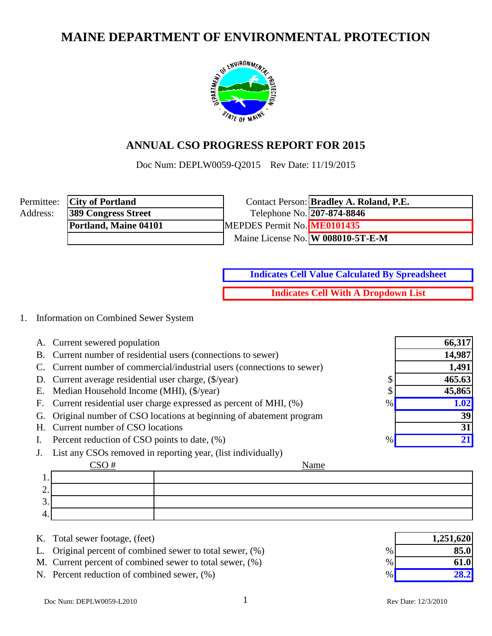# **MAINE DEPARTMENT OF ENVIRONMENTAL PROTECTION**



### **ANNUAL CSO PROGRESS REPORT FOR 2015**

Doc Num: DEPLW0059-Q2015 Rev Date: 11/19/2015

|          | Permittee: City of Portland |                             | Contact Person: <b>Bradley A. Roland, P.E.</b> |
|----------|-----------------------------|-----------------------------|------------------------------------------------|
| Address: | <b>389 Congress Street</b>  | Telephone No. 207-874-8846  |                                                |
|          | Portland, Maine 04101       | MEPDES Permit No. ME0101435 |                                                |
|          |                             |                             | Maine License No. W 008010-5T-E-M              |

**Indicates Cell Value Calculated By Spreadsheet**

**Indicates Cell With A Dropdown List**

### 1. Information on Combined Sewer System

|                | A. Current sewered population                                            | 66,317 |
|----------------|--------------------------------------------------------------------------|--------|
|                | B. Current number of residential users (connections to sewer)            | 14,987 |
|                | C. Current number of commercial/industrial users (connections to sewer)  | 1,491  |
|                | D. Current average residential user charge, (\$/year)<br>◡               | 465.63 |
|                | E. Median Household Income (MHI), (\$/year)                              | 45,865 |
|                | F. Current residential user charge expressed as percent of MHI, (%)<br>% | 1.02   |
|                | G. Original number of CSO locations at beginning of abatement program    | 39     |
|                | H. Current number of CSO locations                                       | 31     |
| $\mathbf{I}$ . | Percent reduction of CSO points to date, (%)<br>%                        |        |
|                | List any CSOs removed in reporting year, (list individually)             |        |

|   | Name |
|---|------|
|   |      |
|   |      |
| ັ |      |
|   |      |

- K. Total sewer footage, (feet)
- L. Original percent of combined sewer to total sewer,  $(\%)$
- M. Current percent of combined sewer to total sewer,  $(\%)$
- N. Percent reduction of combined sewer,  $(\%)$

|      | 1,251,620 |
|------|-----------|
| $\%$ | 85.0      |
| $\%$ | 61.0      |
| $\%$ | 28.2      |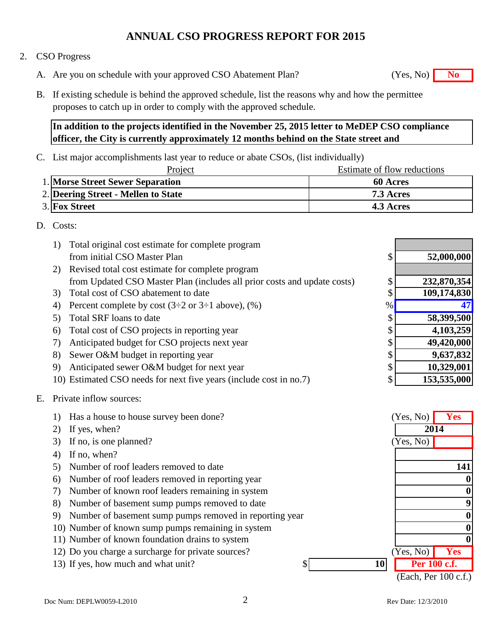#### 2. CSO Progress

- A. Are you on schedule with your approved CSO Abatement Plan? **No** (Yes, No) **No**
- B. If existing schedule is behind the approved schedule, list the reasons why and how the permittee

proposes to catch up in order to comply with the approved schedule. **In addition to the projects identified in the November 25, 2015 letter to MeDEP CSO compliance** 

**officer, the City is currently approximately 12 months behind on the State street and** 

C. List major accomplishments last year to reduce or abate CSOs, (list individually)

| Project                             | Estimate of flow reductions |
|-------------------------------------|-----------------------------|
| 1. Morse Street Sewer Separation    | <b>60 Acres</b>             |
| 2. Deering Street - Mellen to State | 7.3 Acres                   |
| <b>3. Fox Street</b>                | 4.3 Acres                   |

### D. Costs:

|    | Total original cost estimate for complete program<br>1)                  |    |             |
|----|--------------------------------------------------------------------------|----|-------------|
|    | from initial CSO Master Plan                                             | \$ | 52,000,000  |
|    | 2) Revised total cost estimate for complete program                      |    |             |
|    | from Updated CSO Master Plan (includes all prior costs and update costs) | \$ | 232,870,354 |
|    | Total cost of CSO abatement to date<br>3)                                | \$ | 109,174,830 |
|    | Percent complete by cost $(3\div 2$ or $3\div 1$ above), $(\%)$          | %  | 47          |
| 5) | Total SRF loans to date                                                  | \$ | 58,399,500  |
| 6) | Total cost of CSO projects in reporting year                             | \$ | 4,103,259   |
| 7) | Anticipated budget for CSO projects next year                            | \$ | 49,420,000  |
| 8) | Sewer O&M budget in reporting year                                       | \$ | 9,637,832   |
| 9) | Anticipated sewer O&M budget for next year                               | \$ | 10,329,001  |
|    | 10) Estimated CSO needs for next five years (include cost in no.7)       | \$ | 153,535,000 |
| Е. | Private inflow sources:                                                  |    |             |

| 1) | Has a house to house survey been done?                  | (Yes, No)            | <b>Yes</b> |
|----|---------------------------------------------------------|----------------------|------------|
| 2) | If yes, when?                                           | 2014                 |            |
| 3) | If no, is one planned?                                  | (Yes, No)            |            |
| 4) | If no, when?                                            |                      |            |
| 5) | Number of roof leaders removed to date                  |                      | 141        |
| 6) | Number of roof leaders removed in reporting year        |                      |            |
| 7) | Number of known roof leaders remaining in system        |                      |            |
| 8) | Number of basement sump pumps removed to date           |                      |            |
| 9) | Number of basement sump pumps removed in reporting year |                      |            |
|    | 10) Number of known sump pumps remaining in system      |                      |            |
|    | 11) Number of known foundation drains to system         |                      |            |
|    | 12) Do you charge a surcharge for private sources?      | Yes, No)             | Yes        |
|    | <b>10</b><br>13) If yes, how much and what unit?        | Per 100 c.f.         |            |
|    |                                                         | (Each, Per 100 c.f.) |            |

(Yes, No)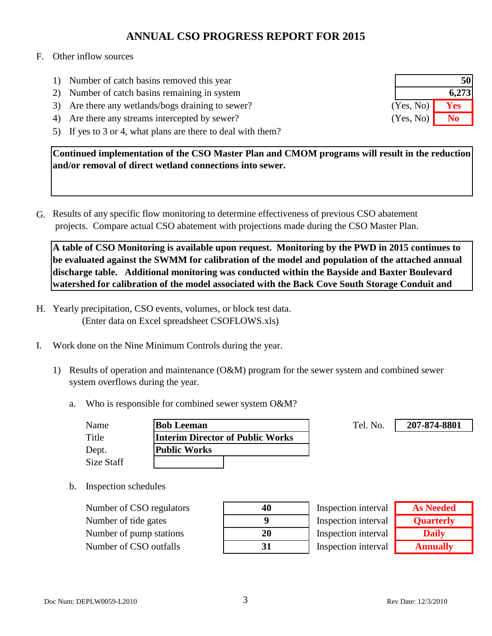### F. Other inflow sources

- 1) Number of catch basins removed this year
- 2) Number of catch basins remaining in system
- 3) Are there any wetlands/bogs draining to sewer?
- 4) Are there any streams intercepted by sewer?
- 5) If yes to 3 or 4, what plans are there to deal with them?

**Continued implementation of the CSO Master Plan and CMOM programs will result in the reduction and/or removal of direct wetland connections into sewer.** 

G. Results of any specific flow monitoring to determine effectiveness of previous CSO abatement projects. Compare actual CSO abatement with projections made during the CSO Master Plan.

**A table of CSO Monitoring is available upon request. Monitoring by the PWD in 2015 continues to be evaluated against the SWMM for calibration of the model and population of the attached annual discharge table. Additional monitoring was conducted within the Bayside and Baxter Boulevard watershed for calibration of the model associated with the Back Cove South Storage Conduit and** 

- H. Yearly precipitation, CSO events, volumes, or block test data. (Enter data on Excel spreadsheet CSOFLOWS.xls)
- I. Work done on the Nine Minimum Controls during the year.
	- 1) Results of operation and maintenance (O&M) program for the sewer system and combined sewer system overflows during the year.
		- a. Who is responsible for combined sewer system O&M?

| Name       | <b>Bob Leeman</b>                       | Tel. No. |
|------------|-----------------------------------------|----------|
| Title      | <b>Interim Director of Public Works</b> |          |
| Dept.      | <b>Public Works</b>                     |          |
| Size Staff |                                         |          |

b. Inspection schedules

Number of CSO regulators **40** Number of tide gates **9** Number of pump stations **20** Number of CSO outfalls **31**

| 40 |
|----|
| 9  |
| 20 |
| 31 |

| Inspection interval |
|---------------------|
| Inspection interval |
| Inspection interval |
| Inspection interval |

| <b>As Needed</b> |  |  |
|------------------|--|--|
| <b>Quarterly</b> |  |  |
| <b>Daily</b>     |  |  |
| <b>Annually</b>  |  |  |

**207-874-8801**

| 50        |       |
|-----------|-------|
|           | 6,273 |
| (Yes, No) | Yes   |
| (Yes, No) | No    |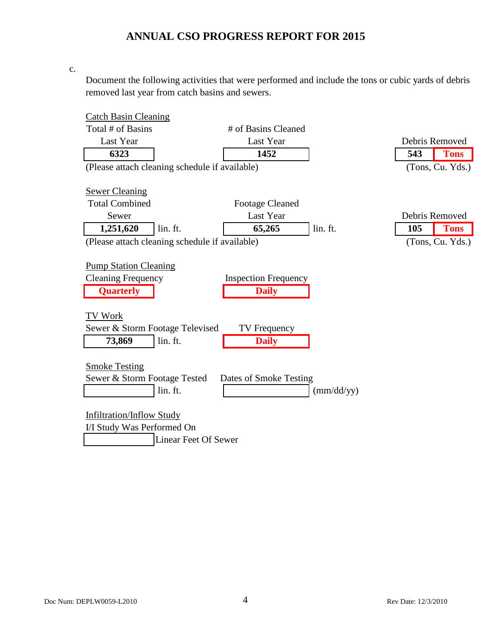c.

Document the following activities that were performed and include the tons or cubic yards of debris removed last year from catch basins and sewers.

| <b>Catch Basin Cleaning</b>                    |                             |                     |                |                  |
|------------------------------------------------|-----------------------------|---------------------|----------------|------------------|
| Total # of Basins                              | # of Basins Cleaned         |                     |                |                  |
| Last Year                                      | Last Year                   |                     | Debris Removed |                  |
| 6323                                           | 1452                        |                     | 543            | <b>Tons</b>      |
| (Please attach cleaning schedule if available) |                             |                     |                | (Tons, Cu. Yds.) |
|                                                |                             |                     |                |                  |
| <b>Sewer Cleaning</b>                          |                             |                     |                |                  |
| <b>Total Combined</b>                          | <b>Footage Cleaned</b>      |                     |                |                  |
| Sewer                                          | Last Year                   |                     |                | Debris Removed   |
| 1,251,620<br>lin. ft.                          | 65,265                      | lin. ft.            | 105            | <b>Tons</b>      |
| (Please attach cleaning schedule if available) |                             |                     |                | (Tons, Cu. Yds.) |
|                                                |                             |                     |                |                  |
| <b>Pump Station Cleaning</b>                   |                             |                     |                |                  |
| <b>Cleaning Frequency</b>                      | <b>Inspection Frequency</b> |                     |                |                  |
| <b>Quarterly</b>                               | <b>Daily</b>                |                     |                |                  |
|                                                |                             |                     |                |                  |
| TV Work                                        |                             |                     |                |                  |
| Sewer & Storm Footage Televised                | TV Frequency                |                     |                |                  |
| lin. ft.<br>73,869                             | <b>Daily</b>                |                     |                |                  |
|                                                |                             |                     |                |                  |
| <b>Smoke Testing</b>                           |                             |                     |                |                  |
| Sewer & Storm Footage Tested                   | Dates of Smoke Testing      |                     |                |                  |
| lin. ft.                                       |                             | $\text{(mm/dd/yy)}$ |                |                  |
|                                                |                             |                     |                |                  |
| <b>Infiltration/Inflow Study</b>               |                             |                     |                |                  |
| I/I Study Was Performed On                     |                             |                     |                |                  |
| <b>Linear Feet Of Sewer</b>                    |                             |                     |                |                  |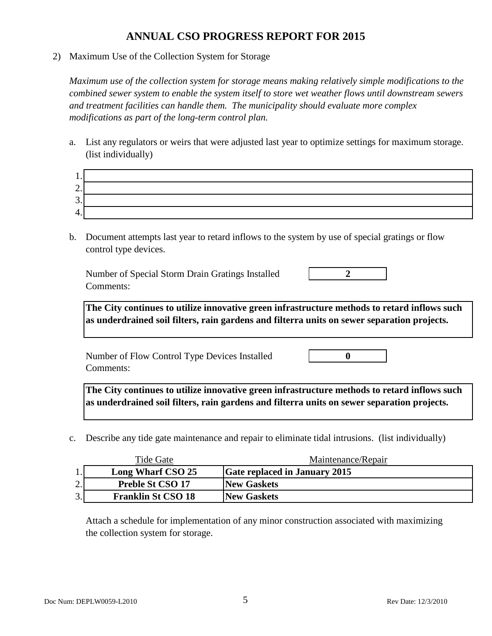2) Maximum Use of the Collection System for Storage

*Maximum use of the collection system for storage means making relatively simple modifications to the combined sewer system to enable the system itself to store wet weather flows until downstream sewers and treatment facilities can handle them. The municipality should evaluate more complex modifications as part of the long-term control plan.*

a. List any regulators or weirs that were adjusted last year to optimize settings for maximum storage. (list individually)

| $\overline{\phantom{0}}$<br>۷. |  |
|--------------------------------|--|
| $\sim$<br>J.                   |  |
| 4<br>᠇.                        |  |

b. Document attempts last year to retard inflows to the system by use of special gratings or flow control type devices.

Number of Special Storm Drain Gratings Installed **2** Comments:

**The City continues to utilize innovative green infrastructure methods to retard inflows such as underdrained soil filters, rain gardens and filterra units on sewer separation projects.**

Number of Flow Control Type Devices Installed **0** Comments:

**The City continues to utilize innovative green infrastructure methods to retard inflows such as underdrained soil filters, rain gardens and filterra units on sewer separation projects.**

c. Describe any tide gate maintenance and repair to eliminate tidal intrusions. (list individually)

|                | Tide Gate                 | Maintenance/Repair                   |
|----------------|---------------------------|--------------------------------------|
| 1.             | Long Wharf CSO 25         | <b>Gate replaced in January 2015</b> |
| $\gamma$<br>۷. | <b>Preble St CSO 17</b>   | <b>New Gaskets</b>                   |
| 3.             | <b>Franklin St CSO 18</b> | <b>New Gaskets</b>                   |

Attach a schedule for implementation of any minor construction associated with maximizing the collection system for storage.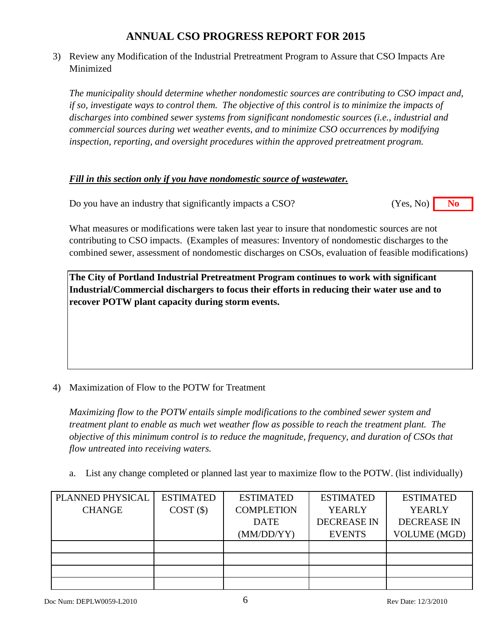3) Review any Modification of the Industrial Pretreatment Program to Assure that CSO Impacts Are Minimized

*The municipality should determine whether nondomestic sources are contributing to CSO impact and, if so, investigate ways to control them. The objective of this control is to minimize the impacts of discharges into combined sewer systems from significant nondomestic sources (i.e., industrial and commercial sources during wet weather events, and to minimize CSO occurrences by modifying inspection, reporting, and oversight procedures within the approved pretreatment program.*

### *Fill in this section only if you have nondomestic source of wastewater.*

Do you have an industry that significantly impacts a CSO? **No** (Yes, No) **No** (Yes, No)

What measures or modifications were taken last year to insure that nondomestic sources are not contributing to CSO impacts. (Examples of measures: Inventory of nondomestic discharges to the combined sewer, assessment of nondomestic discharges on CSOs, evaluation of feasible modifications)

**The City of Portland Industrial Pretreatment Program continues to work with significant Industrial/Commercial dischargers to focus their efforts in reducing their water use and to recover POTW plant capacity during storm events.**

### 4) Maximization of Flow to the POTW for Treatment

*Maximizing flow to the POTW entails simple modifications to the combined sewer system and treatment plant to enable as much wet weather flow as possible to reach the treatment plant. The objective of this minimum control is to reduce the magnitude, frequency, and duration of CSOs that flow untreated into receiving waters.*

a. List any change completed or planned last year to maximize flow to the POTW. (list individually)

| PLANNED PHYSICAL | <b>ESTIMATED</b> | <b>ESTIMATED</b>  | <b>ESTIMATED</b>   | <b>ESTIMATED</b>    |
|------------------|------------------|-------------------|--------------------|---------------------|
| <b>CHANGE</b>    | COST(S)          | <b>COMPLETION</b> | <b>YEARLY</b>      | <b>YEARLY</b>       |
|                  |                  | <b>DATE</b>       | <b>DECREASE IN</b> | <b>DECREASE IN</b>  |
|                  |                  | (MM/DD/YY)        | <b>EVENTS</b>      | <b>VOLUME (MGD)</b> |
|                  |                  |                   |                    |                     |
|                  |                  |                   |                    |                     |
|                  |                  |                   |                    |                     |
|                  |                  |                   |                    |                     |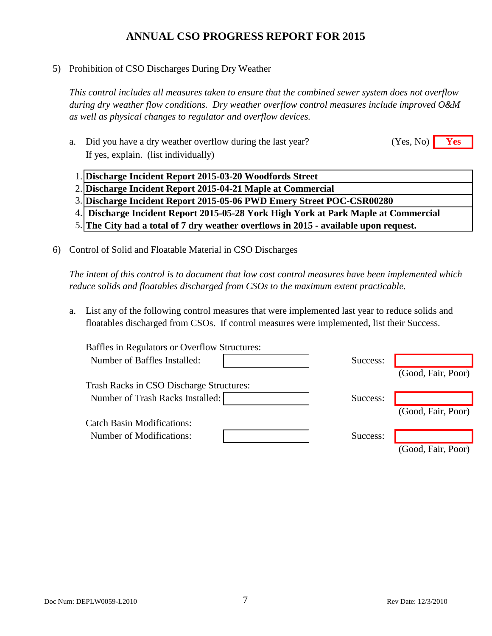5) Prohibition of CSO Discharges During Dry Weather

*This control includes all measures taken to ensure that the combined sewer system does not overflow during dry weather flow conditions. Dry weather overflow control measures include improved O&M as well as physical changes to regulator and overflow devices.*

- a. Did you have a dry weather overflow during the last year? **Yes** (Yes, No) **Yes** If yes, explain. (list individually) (Yes, No)
	- 1. **Discharge Incident Report 2015-03-20 Woodfords Street**
	- 2. **Discharge Incident Report 2015-04-21 Maple at Commercial**
	- 3. **Discharge Incident Report 2015-05-06 PWD Emery Street POC-CSR00280**
	- 4.  **Discharge Incident Report 2015-05-28 York High York at Park Maple at Commercial**
	- 5. **The City had a total of 7 dry weather overflows in 2015 available upon request.**
- 6) Control of Solid and Floatable Material in CSO Discharges

*The intent of this control is to document that low cost control measures have been implemented which reduce solids and floatables discharged from CSOs to the maximum extent practicable.*

a. List any of the following control measures that were implemented last year to reduce solids and floatables discharged from CSOs. If control measures were implemented, list their Success.

| <b>Baffles in Regulators or Overflow Structures:</b> |          |                    |
|------------------------------------------------------|----------|--------------------|
| Number of Baffles Installed:                         | Success: |                    |
|                                                      |          | (Good, Fair, Poor) |
| <b>Trash Racks in CSO Discharge Structures:</b>      |          |                    |
| Number of Trash Racks Installed:                     | Success: |                    |
|                                                      |          | (Good, Fair, Poor) |
| <b>Catch Basin Modifications:</b>                    |          |                    |
| Number of Modifications:                             | Success: |                    |
|                                                      |          | (Good, Fair, Poor) |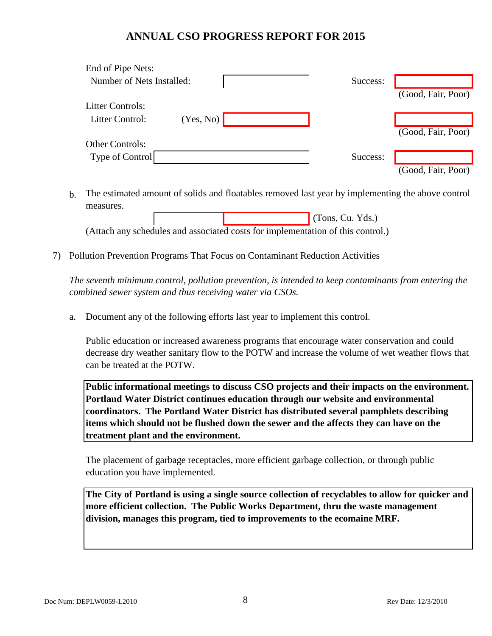| End of Pipe Nets:            |          |                    |
|------------------------------|----------|--------------------|
| Number of Nets Installed:    | Success: |                    |
|                              |          | (Good, Fair, Poor) |
| <b>Litter Controls:</b>      |          |                    |
| (Yes, No)<br>Litter Control: |          |                    |
|                              |          | (Good, Fair, Poor) |
| <b>Other Controls:</b>       |          |                    |
| Type of Control              | Success: |                    |
|                              |          | (Good, Fair, Poor) |

b. The estimated amount of solids and floatables removed last year by implementing the above control measures.

 (Tons, Cu. Yds.) (Attach any schedules and associated costs for implementation of this control.)

7) Pollution Prevention Programs That Focus on Contaminant Reduction Activities

*The seventh minimum control, pollution prevention, is intended to keep contaminants from entering the combined sewer system and thus receiving water via CSOs.*

a. Document any of the following efforts last year to implement this control.

Public education or increased awareness programs that encourage water conservation and could decrease dry weather sanitary flow to the POTW and increase the volume of wet weather flows that can be treated at the POTW.

**Public informational meetings to discuss CSO projects and their impacts on the environment. Portland Water District continues education through our website and environmental coordinators. The Portland Water District has distributed several pamphlets describing items which should not be flushed down the sewer and the affects they can have on the treatment plant and the environment.**

The placement of garbage receptacles, more efficient garbage collection, or through public education you have implemented.

**The City of Portland is using a single source collection of recyclables to allow for quicker and more efficient collection. The Public Works Department, thru the waste management division, manages this program, tied to improvements to the ecomaine MRF.**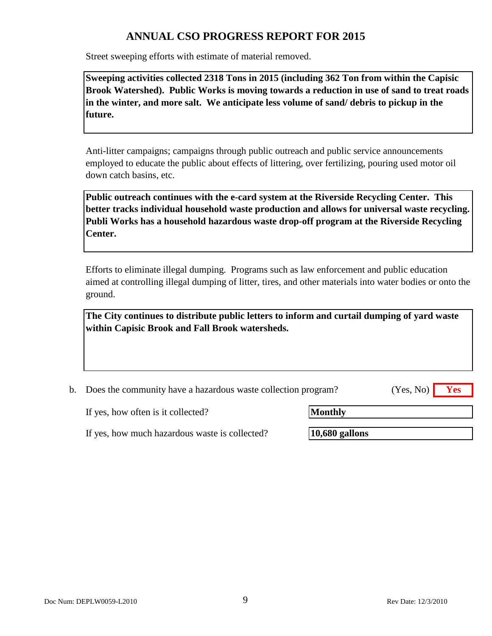Street sweeping efforts with estimate of material removed.

**Sweeping activities collected 2318 Tons in 2015 (including 362 Ton from within the Capisic Brook Watershed). Public Works is moving towards a reduction in use of sand to treat roads in the winter, and more salt. We anticipate less volume of sand/ debris to pickup in the future.**

Anti-litter campaigns; campaigns through public outreach and public service announcements employed to educate the public about effects of littering, over fertilizing, pouring used motor oil down catch basins, etc.

**Public outreach continues with the e-card system at the Riverside Recycling Center. This better tracks individual household waste production and allows for universal waste recycling. Publi Works has a household hazardous waste drop-off program at the Riverside Recycling Center.**

Efforts to eliminate illegal dumping. Programs such as law enforcement and public education aimed at controlling illegal dumping of litter, tires, and other materials into water bodies or onto the ground.

**The City continues to distribute public letters to inform and curtail dumping of yard waste within Capisic Brook and Fall Brook watersheds.**

b. Does the community have a hazardous waste collection program? **Yes** (Yes, No)

If yes, how often is it collected?

**Monthly**

If yes, how much hazardous waste is collected?

**10,680 gallons**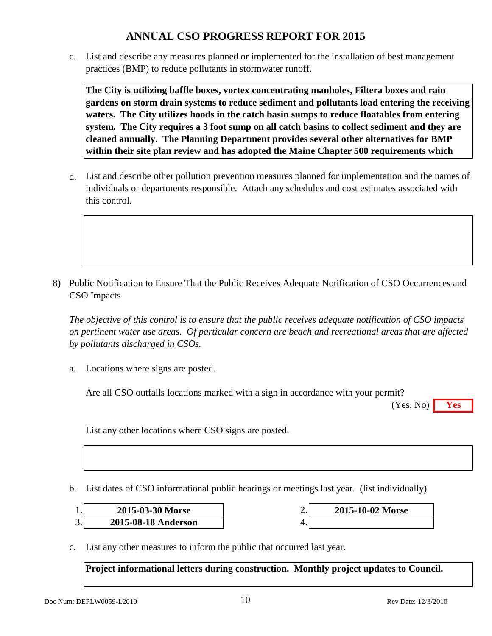c. List and describe any measures planned or implemented for the installation of best management practices (BMP) to reduce pollutants in stormwater runoff.

**The City is utilizing baffle boxes, vortex concentrating manholes, Filtera boxes and rain gardens on storm drain systems to reduce sediment and pollutants load entering the receiving waters. The City utilizes hoods in the catch basin sumps to reduce floatables from entering system. The City requires a 3 foot sump on all catch basins to collect sediment and they are cleaned annually. The Planning Department provides several other alternatives for BMP within their site plan review and has adopted the Maine Chapter 500 requirements which** 

d. List and describe other pollution prevention measures planned for implementation and the names of individuals or departments responsible. Attach any schedules and cost estimates associated with this control.

8) Public Notification to Ensure That the Public Receives Adequate Notification of CSO Occurrences and CSO Impacts

*The objective of this control is to ensure that the public receives adequate notification of CSO impacts on pertinent water use areas. Of particular concern are beach and recreational areas that are affected by pollutants discharged in CSOs.*

a. Locations where signs are posted.

Are all CSO outfalls locations marked with a sign in accordance with your permit?

**Yes** (Yes, No)

List any other locations where CSO signs are posted.

b. List dates of CSO informational public hearings or meetings last year. (list individually)

| 2015-03-30 Morse    | ـ ـ | 2015-10-02 Morse |
|---------------------|-----|------------------|
| 2015-08-18 Anderson |     |                  |

c. List any other measures to inform the public that occurred last year.

**Project informational letters during construction. Monthly project updates to Council.**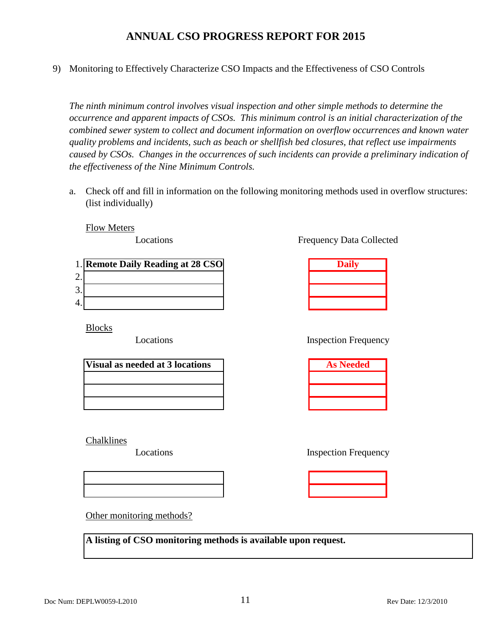9) Monitoring to Effectively Characterize CSO Impacts and the Effectiveness of CSO Controls

*The ninth minimum control involves visual inspection and other simple methods to determine the occurrence and apparent impacts of CSOs. This minimum control is an initial characterization of the combined sewer system to collect and document information on overflow occurrences and known water quality problems and incidents, such as beach or shellfish bed closures, that reflect use impairments caused by CSOs. Changes in the occurrences of such incidents can provide a preliminary indication of the effectiveness of the Nine Minimum Controls.*

a. Check off and fill in information on the following monitoring methods used in overflow structures: (list individually)

Flow Meters

Locations

|         | 1. Remote Daily Reading at 28 CSO |  |
|---------|-----------------------------------|--|
| ⌒       |                                   |  |
| ⌒<br>C. |                                   |  |
| 4.      |                                   |  |

Blocks

Locations

| <b>Visual as needed at 3 locations</b> |  |  |
|----------------------------------------|--|--|
|                                        |  |  |
|                                        |  |  |
|                                        |  |  |

Chalklines

Locations

Frequency Data Collected

| <b>Daily</b> |  |
|--------------|--|
|              |  |
|              |  |
|              |  |

### Inspection Frequency

| <b>As Needed</b> |
|------------------|
|                  |
|                  |
|                  |

Inspection Frequency

Other monitoring methods?

**A listing of CSO monitoring methods is available upon request.**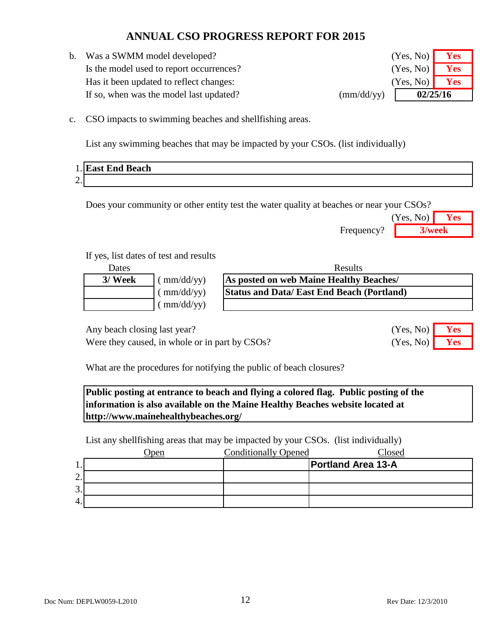b. Was a SWMM model developed? Is the model used to report occurrences? Has it been updated to reflect changes: If so, when was the model last updated? (mm/dd/yy)

| (Yes, No)<br>Yes<br>02/25/16 |            |  |
|------------------------------|------------|--|
| (Yes, No)                    | Yes        |  |
| (Yes, No)                    | <b>Yes</b> |  |
|                              |            |  |

c. CSO impacts to swimming beaches and shellfishing areas.

List any swimming beaches that may be impacted by your CSOs. (list individually)

| 1.17           | <b>East End Beach</b> |
|----------------|-----------------------|
| $\Omega$<br>∠. |                       |

Does your community or other entity test the water quality at beaches or near your CSOs?

|            | (Yes, No) | Yes    |
|------------|-----------|--------|
| Frequency? |           | 3/week |

(Yes, No)

(Yes, No)

### If yes, list dates of test and results

| Dates   |                                 | Results                                          |  |
|---------|---------------------------------|--------------------------------------------------|--|
| 3/ Week | $\text{mm}/\text{dd}/\text{yy}$ | As posted on web Maine Healthy Beaches/          |  |
|         | $\mu$ mm/dd/yy)                 | <b>Status and Data/East End Beach (Portland)</b> |  |
|         | $\frac{\text{m}}{\text{d}}$     |                                                  |  |

Any beach closing last year? **Yes** No. 2013

Were they caused, in whole or in part by CSOs? (Yes, No) **Yes** 

What are the procedures for notifying the public of beach closures?

**Public posting at entrance to beach and flying a colored flag. Public posting of the information is also available on the Maine Healthy Beaches website located at http://www.mainehealthybeaches.org/**

List any shellfishing areas that may be impacted by your CSOs. (list individually)

|         | )pen | <b>Conditionally Opened</b> | Closed                    |
|---------|------|-----------------------------|---------------------------|
| .,      |      |                             | <b>Portland Area 13-A</b> |
| ↑<br>٠. |      |                             |                           |
| 3.      |      |                             |                           |
| 4.      |      |                             |                           |

Doc Num: DEPLW0059-L2010 12 Rev Date: 12/3/2010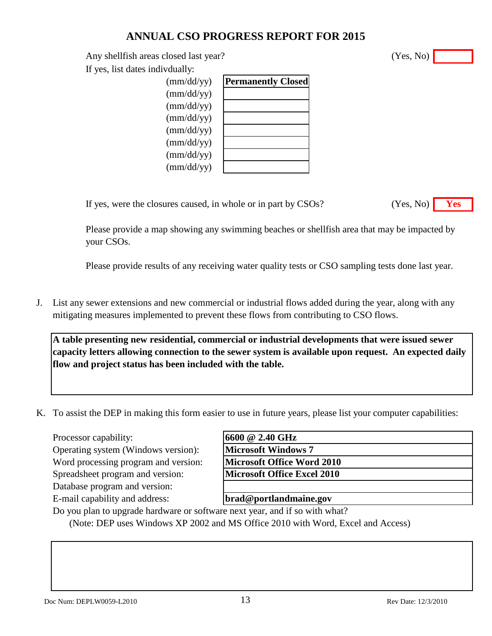Any shellfish areas closed last year?

If yes, list dates indivdually:

| $\text{(mm/dd/yy)}$ | <b>Permanently Closed</b> |
|---------------------|---------------------------|
| (mm/dd/yy)          |                           |
| $\text{(mm/dd/yy)}$ |                           |
| $\text{(mm/dd/yy)}$ |                           |
| $\text{(mm/dd/yy)}$ |                           |
| $\text{(mm/dd/yy)}$ |                           |
| $\text{(mm/dd/yy)}$ |                           |
| $\text{(mm/dd/yy)}$ |                           |
|                     |                           |

If yes, were the closures caused, in whole or in part by CSOs?

Please provide a map showing any swimming beaches or shellfish area that may be impacted by your CSOs.

Please provide results of any receiving water quality tests or CSO sampling tests done last year.

J. List any sewer extensions and new commercial or industrial flows added during the year, along with any mitigating measures implemented to prevent these flows from contributing to CSO flows.

**A table presenting new residential, commercial or industrial developments that were issued sewer capacity letters allowing connection to the sewer system is available upon request. An expected daily flow and project status has been included with the table.**

K. To assist the DEP in making this form easier to use in future years, please list your computer capabilities:

Processor capability:

Operating system (Windows version): Word processing program and version: Spreadsheet program and version:

Database program and version:

E-mail capability and address:

| 16600 @ 2.40 GHz                   |  |
|------------------------------------|--|
| <b>Microsoft Windows 7</b>         |  |
| Microsoft Office Word 2010         |  |
| <b>Microsoft Office Excel 2010</b> |  |
|                                    |  |

**brad@portlandmaine.gov**

Do you plan to upgrade hardware or software next year, and if so with what?

(Note: DEP uses Windows XP 2002 and MS Office 2010 with Word, Excel and Access)

(Yes, No)